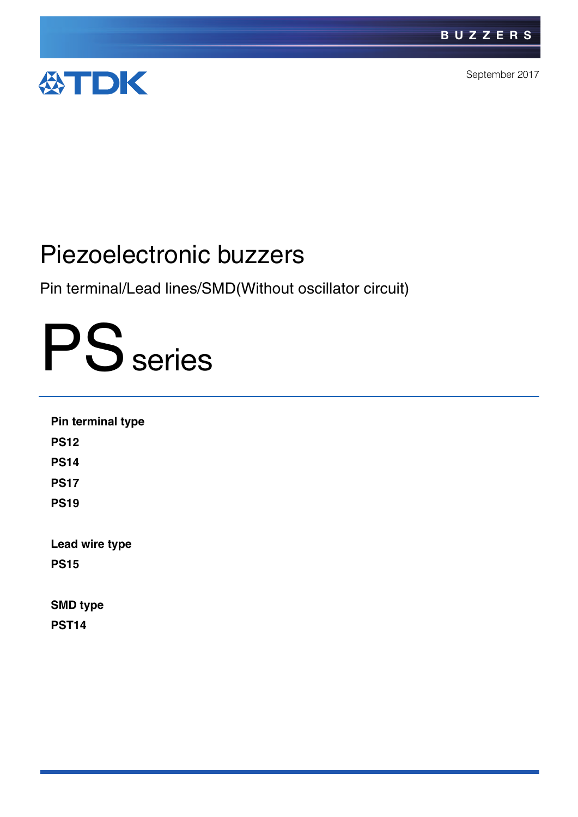

September 2017

# Piezoelectronic buzzers

Pin terminal/Lead lines/SMD(Without oscillator circuit)

# PS series

| Pin terminal type |  |  |
|-------------------|--|--|
| <b>PS12</b>       |  |  |
| <b>PS14</b>       |  |  |
| <b>PS17</b>       |  |  |
| <b>PS19</b>       |  |  |
| Lead wire type    |  |  |
| <b>PS15</b>       |  |  |
| <b>SMD type</b>   |  |  |
| <b>PST14</b>      |  |  |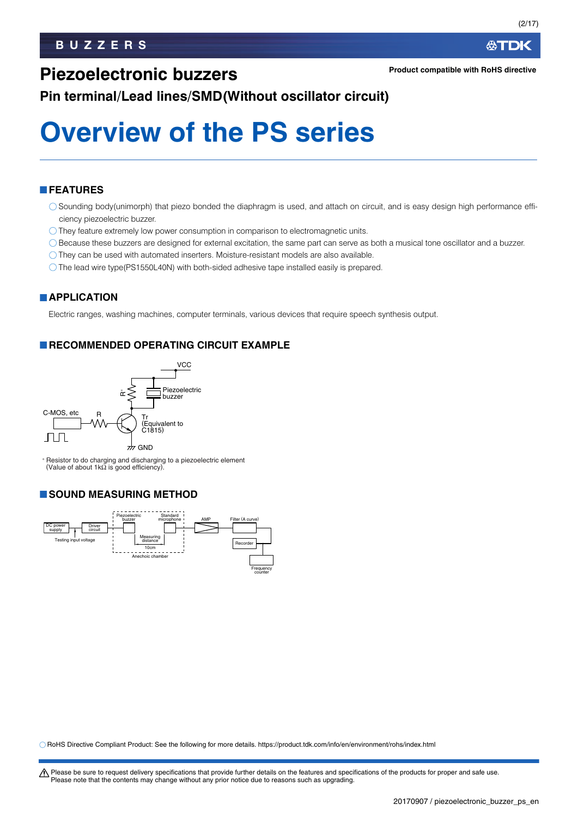(2/17)

### **Piezoelectronic buzzers**

**Pin terminal/Lead lines/SMD(Without oscillator circuit)**

# **Overview of the PS series**

#### **FEATURES**

- Sounding body(unimorph) that piezo bonded the diaphragm is used, and attach on circuit, and is easy design high performance efficiency piezoelectric buzzer.
- $\bigcirc$  They feature extremely low power consumption in comparison to electromagnetic units.
- Because these buzzers are designed for external excitation, the same part can serve as both a musical tone oscillator and a buzzer.
- $\bigcirc$  They can be used with automated inserters. Moisture-resistant models are also available.
- The lead wire type(PS1550L40N) with both-sided adhesive tape installed easily is prepared.

#### **APPLICATION**

Electric ranges, washing machines, computer terminals, various devices that require speech synthesis output.

#### **RECOMMENDED OPERATING CIRCUIT EXAMPLE**



<sup>∗</sup> Resistor to do charging and discharging to a piezoelectric element (Value of about 1kΩ is good efficiency).

#### **SOUND MEASURING METHOD**



RoHS Directive Compliant Product: See the following for more details. https://product.tdk.com/info/en/environment/rohs/index.html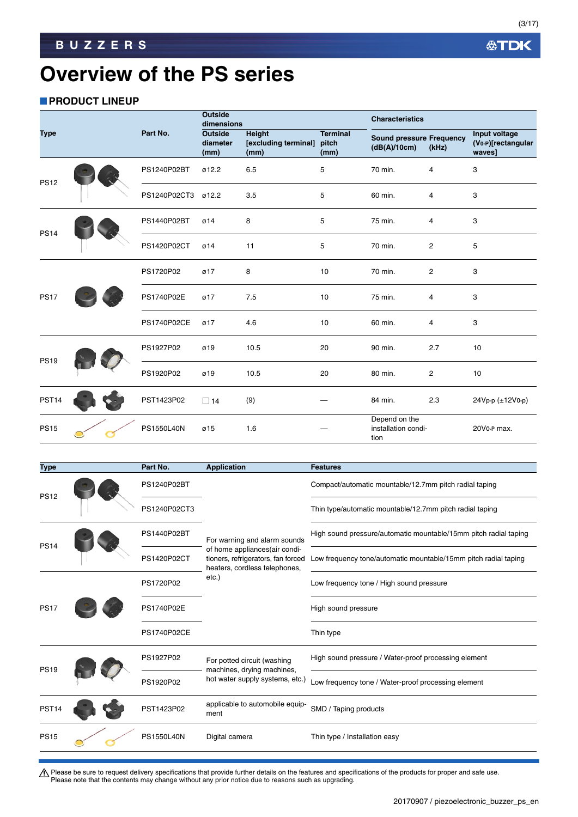(3/17)

### **Overview of the PS series**

#### **PRODUCT LINEUP**

|                   |                    |              | <b>Outside</b><br>dimensions       |                                        |                                  | <b>Characteristics</b>                          |                |                                               |
|-------------------|--------------------|--------------|------------------------------------|----------------------------------------|----------------------------------|-------------------------------------------------|----------------|-----------------------------------------------|
| <b>Type</b>       |                    | Part No.     | <b>Outside</b><br>diameter<br>(mm) | Height<br>[excluding terminal]<br>(mm) | <b>Terminal</b><br>pitch<br>(mm) | <b>Sound pressure Frequency</b><br>(dB(A)/10cm) | (kHz)          | Input voltage<br>(Vo-P)[rectangular<br>waves] |
| <b>PS12</b>       |                    | PS1240P02BT  | ø12.2                              | 6.5                                    | 5                                | 70 min.                                         | 4              | 3                                             |
|                   |                    | PS1240P02CT3 | ø12.2                              | 3.5                                    | 5                                | 60 min.                                         | $\overline{4}$ | 3                                             |
| <b>PS14</b>       |                    | PS1440P02BT  | ø14                                | 8                                      | 5                                | 75 min.                                         | 4              | 3                                             |
|                   |                    | PS1420P02CT  | Ø14                                | 11                                     | 5                                | 70 min.                                         | $\overline{2}$ | 5                                             |
|                   | PS1720P02          | Ø17          | 8                                  | 10                                     | 70 min.                          | $\overline{2}$                                  | 3              |                                               |
| <b>PS17</b>       |                    | PS1740P02E   | Ø17                                | 7.5                                    | 10                               | 75 min.                                         | 4              | 3                                             |
|                   | <b>PS1740P02CE</b> | Ø17          | 4.6                                | 10                                     | 60 min.                          | 4                                               | 3              |                                               |
| <b>PS19</b>       |                    | PS1927P02    | ø19                                | 10.5                                   | 20                               | 90 min.                                         | 2.7            | 10                                            |
|                   |                    | PS1920P02    | ø19                                | 10.5                                   | 20                               | 80 min.                                         | $\overline{c}$ | 10                                            |
| PST <sub>14</sub> |                    | PST1423P02   | $\Box$ 14                          | (9)                                    |                                  | 84 min.                                         | 2.3            | 24Vp-p (±12V0-p)                              |
| <b>PS15</b>       |                    | PS1550L40N   | ø15                                | 1.6                                    |                                  | Depend on the<br>installation condi-<br>tion    |                | 20V0-P max.                                   |

|             | Part No.           | <b>Application</b>                                                  | <b>Features</b>                                                  |
|-------------|--------------------|---------------------------------------------------------------------|------------------------------------------------------------------|
| <b>PS12</b> | PS1240P02BT        |                                                                     | Compact/automatic mountable/12.7mm pitch radial taping           |
|             | PS1240P02CT3       |                                                                     | Thin type/automatic mountable/12.7mm pitch radial taping         |
|             | PS1440P02BT        | For warning and alarm sounds                                        | High sound pressure/automatic mountable/15mm pitch radial taping |
|             | PS1420P02CT        | tioners, refrigerators, fan forced<br>heaters, cordless telephones, | Low frequency tone/automatic mountable/15mm pitch radial taping  |
| <b>PS17</b> | PS1720P02          | etc.)                                                               | Low frequency tone / High sound pressure                         |
|             | PS1740P02E         |                                                                     | High sound pressure                                              |
|             | <b>PS1740P02CE</b> |                                                                     | Thin type                                                        |
|             | PS1927P02          | For potted circuit (washing                                         | High sound pressure / Water-proof processing element             |
| <b>PS19</b> | PS1920P02          | hot water supply systems, etc.)                                     | Low frequency tone / Water-proof processing element              |
|             | PST1423P02         | applicable to automobile equip-<br>ment                             | SMD / Taping products                                            |
|             | <b>PS1550L40N</b>  | Digital camera                                                      | Thin type / Installation easy                                    |
|             |                    |                                                                     | of home appliances(air condi-<br>machines, drying machines,      |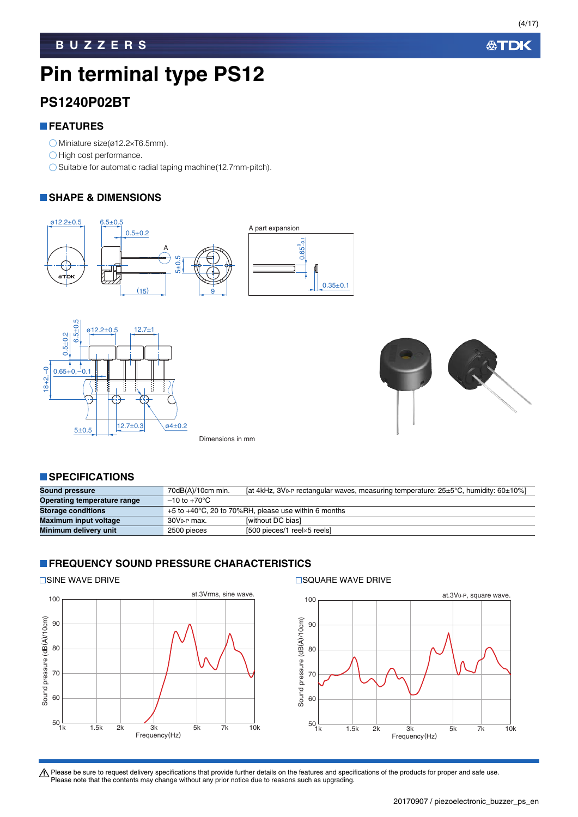(4/17)

# **Pin terminal type PS12**

#### **PS1240P02BT**

#### **FEATURES**

- $\bigcirc$  Miniature size(ø12.2×T6.5mm).
- $\bigcirc$  High cost performance.
- $\bigcirc$  Suitable for automatic radial taping machine(12.7mm-pitch).

#### **SHAPE & DIMENSIONS**







Dimensions in mm

#### **SPECIFICATIONS**

| Sound pressure              | $70dB(A)/10cm$ min.      | [at 4kHz, 3Vo-P rectangular waves, measuring temperature: 25±5°C, humidity: 60±10%] |
|-----------------------------|--------------------------|-------------------------------------------------------------------------------------|
| Operating temperature range | $-10$ to $+70^{\circ}$ C |                                                                                     |
| <b>Storage conditions</b>   |                          | $+5$ to $+40^{\circ}$ C, 20 to 70%RH, please use within 6 months                    |
| Maximum input voltage       | 30V <sub>0-P</sub> max.  | <b>Iwithout DC biasl</b>                                                            |
| Minimum delivery unit       | 2500 pieces              | $[500$ pieces/1 reel $\times$ 5 reelsl                                              |

#### **FREQUENCY SOUND PRESSURE CHARACTERISTICS**



#### $\Box$ SINE WAVE DRIVE  $\Box$ SQUARE WAVE DRIVE

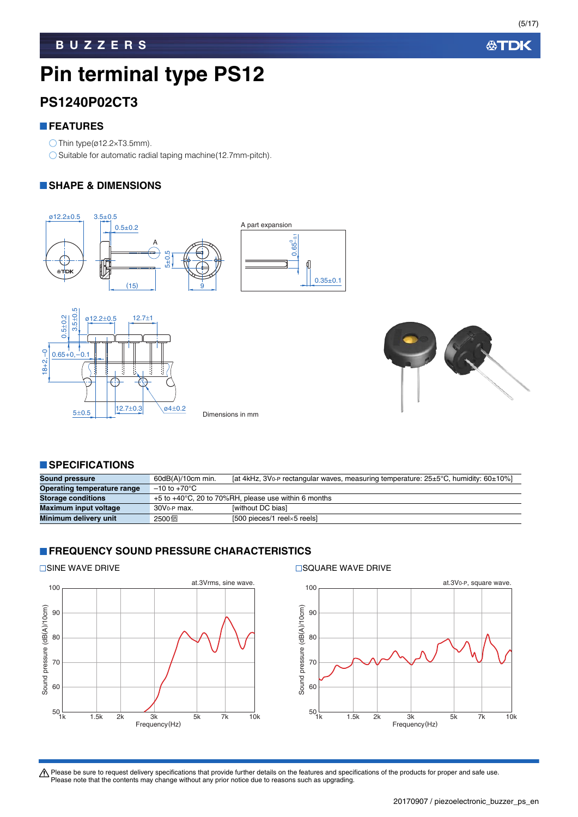(5/17)

# **Pin terminal type PS12**

### **PS1240P02CT3**

#### **FEATURES**

 $\bigcirc$  Thin type(ø12.2×T3.5mm).

 $\bigcirc$  Suitable for automatic radial taping machine(12.7mm-pitch).

#### **SHAPE & DIMENSIONS**







#### **SPECIFICATIONS**

| <b>Sound pressure</b>       | 60dB(A)/10cm min.        | [at 4kHz, 3V <sub>0</sub> -P rectangular waves, measuring temperature: $25\pm5^{\circ}$ C, humidity: $60\pm10\%$ ] |
|-----------------------------|--------------------------|--------------------------------------------------------------------------------------------------------------------|
| Operating temperature range | $-10$ to $+70^{\circ}$ C |                                                                                                                    |
| <b>Storage conditions</b>   |                          | $+5$ to $+40^{\circ}$ C, 20 to 70%RH, please use within 6 months                                                   |
| Maximum input voltage       | 30V <sub>0-P</sub> max.  | <b>Iwithout DC biasl</b>                                                                                           |
| Minimum delivery unit       | 2500個                    | $[500 \text{ pieces}/1 \text{ freely}-5 \text{ feels}]$                                                            |

#### **FREQUENCY SOUND PRESSURE CHARACTERISTICS**



 $\square$ SINE WAVE DRIVE  $\square$ SQUARE WAVE DRIVE

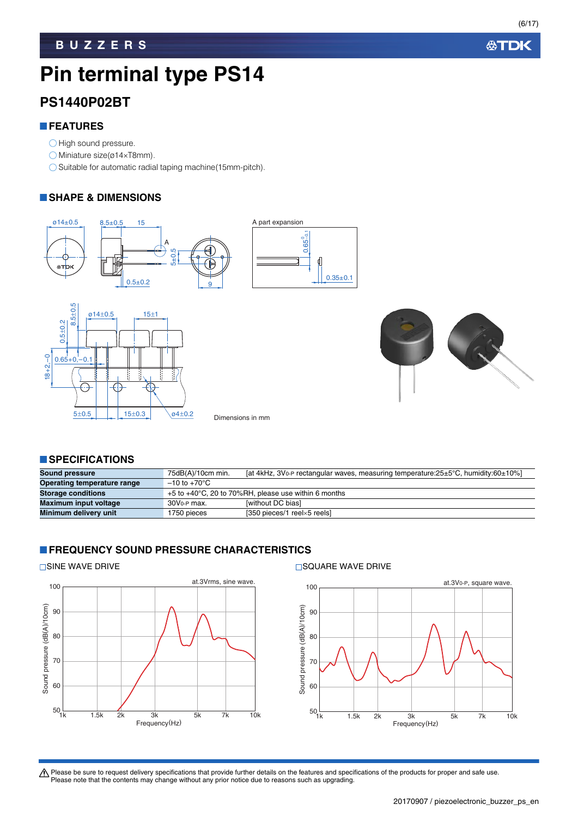(6/17)

# **Pin terminal type PS14**

#### **PS1440P02BT**

#### **FEATURES**

- O High sound pressure.
- $\bigcirc$  Miniature size(ø14×T8mm).
- $\bigcirc$  Suitable for automatic radial taping machine(15mm-pitch).

#### **SHAPE & DIMENSIONS**







#### **SPECIFICATIONS**

| <b>Sound pressure</b>       | $75dB(A)/10cm$ min.      | [at 4kHz, 3Vo-P rectangular waves, measuring temperature: $25\pm5^{\circ}$ C, humidity: $60\pm10\%$ ] |
|-----------------------------|--------------------------|-------------------------------------------------------------------------------------------------------|
| Operating temperature range | $-10$ to $+70^{\circ}$ C |                                                                                                       |
| <b>Storage conditions</b>   |                          | $+5$ to $+40^{\circ}$ C, 20 to 70%RH, please use within 6 months                                      |
| Maximum input voltage       | 30V <sub>0-P</sub> max.  | <b>Iwithout DC biasl</b>                                                                              |
| Minimum delivery unit       | 1750 pieces              | [350 pieces/1 reelx5 reels]                                                                           |

#### **FREQUENCY SOUND PRESSURE CHARACTERISTICS**



 $\square$ SINE WAVE DRIVE  $\square$ SQUARE WAVE DRIVE

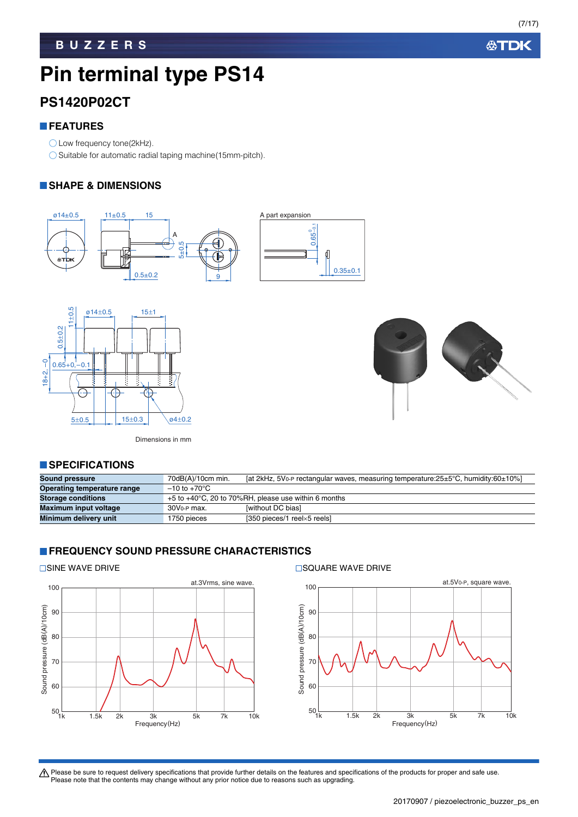(7/17)

# **Pin terminal type PS14**

### **PS1420P02CT**

#### **FEATURES**

◯ Low frequency tone(2kHz).

 $\bigcirc$  Suitable for automatic radial taping machine(15mm-pitch).

#### **SHAPE & DIMENSIONS**







Dimensions in mm

#### **SPECIFICATIONS**

| <b>Sound pressure</b>       | $70dB(A)/10cm$ min.      | [at 2kHz, 5V <sub>0</sub> -P rectangular waves, measuring temperature: $25\pm5\degree$ C, humidity: $60\pm10\%$ ] |
|-----------------------------|--------------------------|-------------------------------------------------------------------------------------------------------------------|
| Operating temperature range | $-10$ to $+70^{\circ}$ C |                                                                                                                   |
| <b>Storage conditions</b>   |                          | $+5$ to $+40^{\circ}$ C, 20 to 70%RH, please use within 6 months                                                  |
| Maximum input voltage       | 30V <sub>0-P</sub> max.  | <b>Iwithout DC biasi</b>                                                                                          |
| Minimum delivery unit       | 1750 pieces              | [350 pieces/1 reelx5 reels]                                                                                       |

#### **FREQUENCY SOUND PRESSURE CHARACTERISTICS**



 $\square$ SINE WAVE DRIVE  $\square$ SQUARE WAVE DRIVE

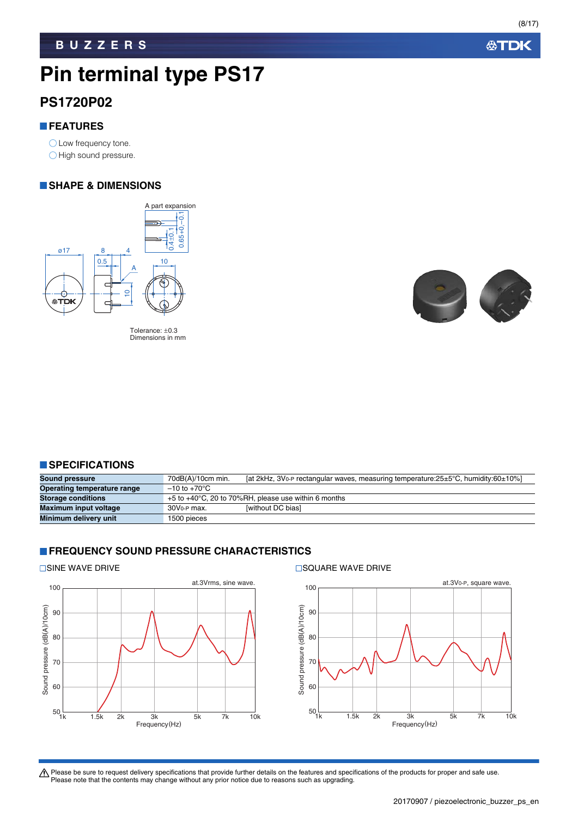# **Pin terminal type PS17**

#### **PS1720P02**

#### **FEATURES**

O Low frequency tone. O High sound pressure.

#### **SHAPE & DIMENSIONS**



Tolerance: ±0.3 Dimensions in mm



#### **SPECIFICATIONS**

| <b>Sound pressure</b>       | [at 2kHz, 3V <sub>0</sub> -P rectangular waves, measuring temperature: $25\pm5\degree$ C, humidity: $60\pm10\%$ ]<br>$70dB(A)/10cm$ min. |
|-----------------------------|------------------------------------------------------------------------------------------------------------------------------------------|
| Operating temperature range | $-10$ to $+70^{\circ}$ C                                                                                                                 |
| <b>Storage conditions</b>   | $+5$ to $+40^{\circ}$ C, 20 to 70%RH, please use within 6 months                                                                         |
| Maximum input voltage       | <b>Iwithout DC biasl</b><br>30V <sub>0-P</sub> max.                                                                                      |
| Minimum delivery unit       | 1500 pieces                                                                                                                              |

#### **FREQUENCY SOUND PRESSURE CHARACTERISTICS**



 $\square$ SINE WAVE DRIVE  $\square$ SQUARE WAVE DRIVE



Please be sure to request delivery specifications that provide further details on the features and specifications of the products for proper and safe use.<br>Please note that the contents may change without any prior notice d

**公TDK**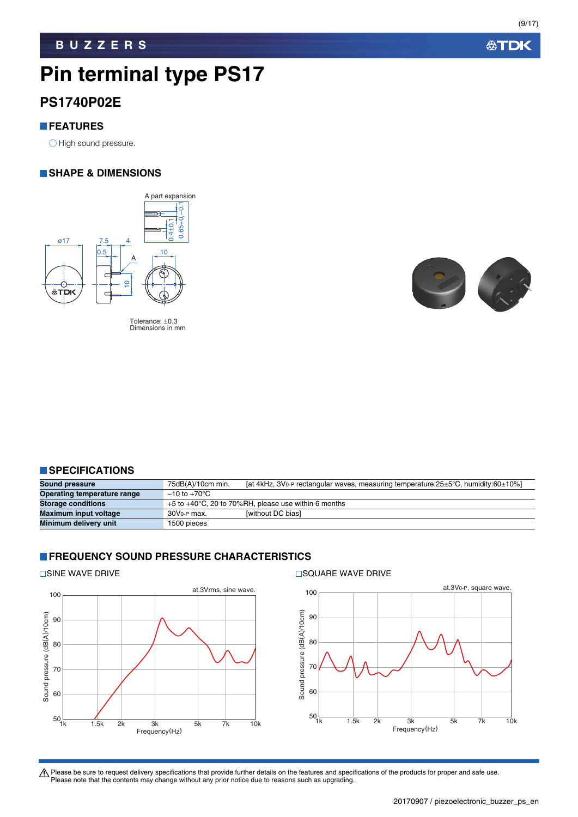# **Pin terminal type PS17**

#### **PS1740P02E**

#### **FEATURES**

O High sound pressure.

#### **SHAPE & DIMENSIONS**



Tolerance: ±0.3 Dimensions in mm



#### **SPECIFICATIONS**

| <b>Sound pressure</b>       | [at 4kHz, 3V <sub>0</sub> -P rectangular waves, measuring temperature: $25\pm5^{\circ}$ C, humidity: $60\pm10\%$ ]<br>75dB(A)/10cm min. |
|-----------------------------|-----------------------------------------------------------------------------------------------------------------------------------------|
| Operating temperature range | $-10$ to $+70^{\circ}$ C                                                                                                                |
| <b>Storage conditions</b>   | $+5$ to $+40^{\circ}$ C, 20 to 70%RH, please use within 6 months                                                                        |
| Maximum input voltage       | <b>Iwithout DC biasl</b><br>$30V0$ -P max.                                                                                              |
| Minimum delivery unit       | 1500 pieces                                                                                                                             |

#### **FREQUENCY SOUND PRESSURE CHARACTERISTICS**





Please be sure to request delivery specifications that provide further details on the features and specifications of the products for proper and safe use.<br>Please note that the contents may change without any prior notice d

**公TDK**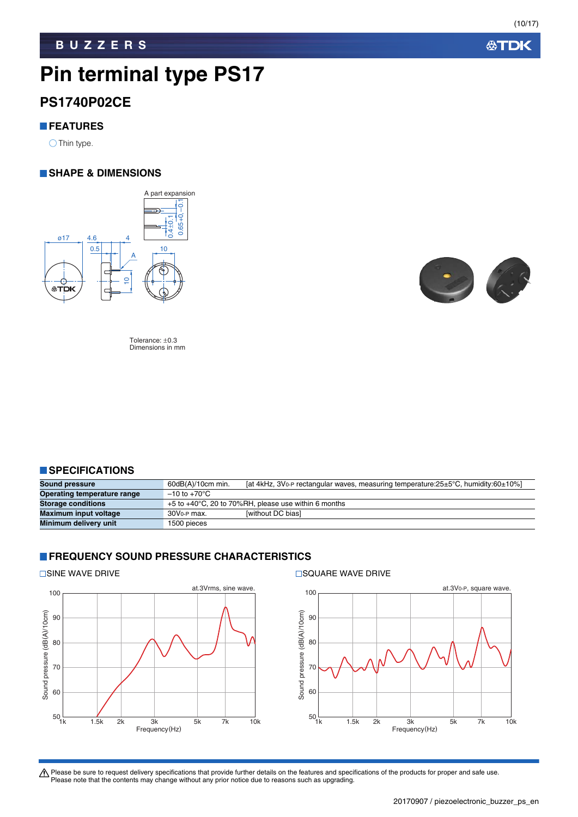公TDK

#### **BUZZERS**

# **Pin terminal type PS17**

#### **PS1740P02CE**

#### **FEATURES**

 $\bigcirc$  Thin type.

#### **SHAPE & DIMENSIONS**



Tolerance: ±0.3 Dimensions in mm

#### **SPECIFICATIONS**

| Sound pressure              | [at 4kHz, 3Vo-P rectangular waves, measuring temperature: $25\pm5^{\circ}$ C, humidity: 60 $\pm10\%$ ]<br>60dB(A)/10cm min. |
|-----------------------------|-----------------------------------------------------------------------------------------------------------------------------|
| Operating temperature range | $-10$ to $+70^{\circ}$ C                                                                                                    |
| <b>Storage conditions</b>   | $+5$ to $+40^{\circ}$ C, 20 to 70%RH, please use within 6 months                                                            |
| Maximum input voltage       | <b>Iwithout DC biasi</b><br>30V <sub>0-P</sub> max.                                                                         |
| Minimum delivery unit       | 1500 pieces                                                                                                                 |

#### **FREQUENCY SOUND PRESSURE CHARACTERISTICS**

 $\square$ SINE WAVE DRIVE  $\square$ SQUARE WAVE DRIVE





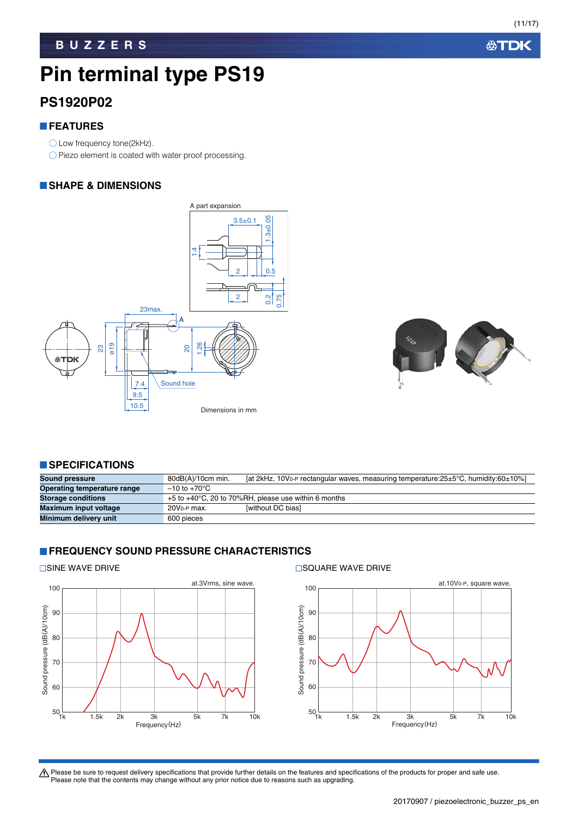公TDK

(11/17)

# **Pin terminal type PS19**

### **PS1920P02**

#### **FEATURES**

- ◯ Low frequency tone(2kHz).
- O Piezo element is coated with water proof processing.

#### **SHAPE & DIMENSIONS**





#### **SPECIFICATIONS**

| <b>Sound pressure</b>       | $80dB(A)/10cm$ min.      | [at 2kHz, 10V <sub>0</sub> -P rectangular waves, measuring temperature: $25\pm5^{\circ}$ C, humidity: $60\pm10\%$ ] |
|-----------------------------|--------------------------|---------------------------------------------------------------------------------------------------------------------|
| Operating temperature range | $-10$ to $+70^{\circ}$ C |                                                                                                                     |
| <b>Storage conditions</b>   |                          | $+5$ to $+40^{\circ}$ C, 20 to 70%RH, please use within 6 months                                                    |
| Maximum input voltage       | 20V <sub>0-P</sub> max.  | <b>Iwithout DC biasl</b>                                                                                            |
| Minimum delivery unit       | 600 pieces               |                                                                                                                     |

#### **FREQUENCY SOUND PRESSURE CHARACTERISTICS**



 $\square$ SINE WAVE DRIVE  $\square$ SQUARE WAVE DRIVE

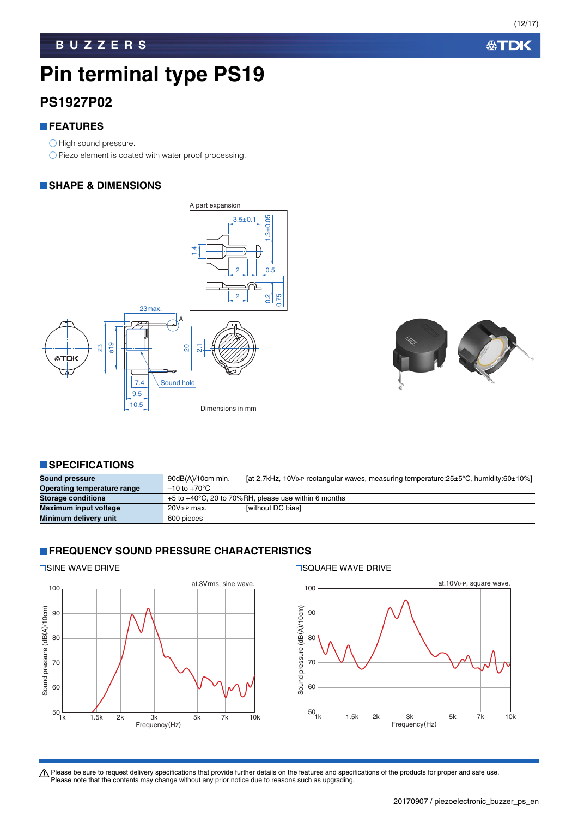公TDK

(12/17)

# **Pin terminal type PS19**

### **PS1927P02**

#### **FEATURES**

- O High sound pressure.
- O Piezo element is coated with water proof processing.

#### **SHAPE & DIMENSIONS**





#### **SPECIFICATIONS**

| <b>Sound pressure</b>       | [at 2.7kHz, 10V <sub>0</sub> -P rectangular waves, measuring temperature: 25±5°C, humidity: 60±10%]<br>$90dB(A)/10cm$ min. |
|-----------------------------|----------------------------------------------------------------------------------------------------------------------------|
| Operating temperature range | $-10$ to $+70^{\circ}$ C                                                                                                   |
| <b>Storage conditions</b>   | $+5$ to $+40^{\circ}$ C, 20 to 70%RH, please use within 6 months                                                           |
| Maximum input voltage       | <b>Iwithout DC biasl</b><br>20V <sub>0</sub> -P max.                                                                       |
| Minimum delivery unit       | 600 pieces                                                                                                                 |

#### **FREQUENCY SOUND PRESSURE CHARACTERISTICS**



 $\square$ SINE WAVE DRIVE  $\square$ SQUARE WAVE DRIVE

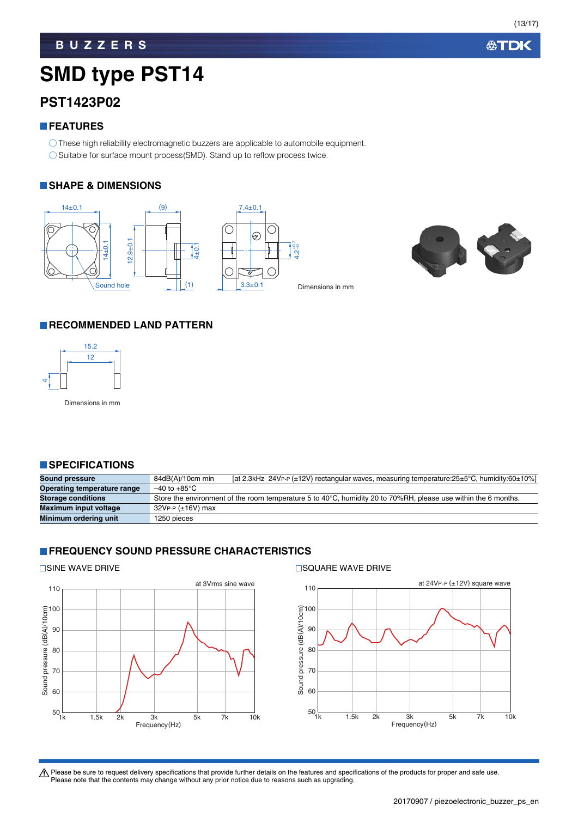公TDK

# **SMD type PST14**

### **PST1423P02**

#### **FEATURES**

These high reliability electromagnetic buzzers are applicable to automobile equipment. ◯ Suitable for surface mount process(SMD). Stand up to reflow process twice.

#### **SHAPE & DIMENSIONS**



#### **RECOMMENDED LAND PATTERN**



Dimensions in mm

#### **SPECIFICATIONS**

| <b>Sound pressure</b>       | [at 2.3kHz 24VP-P $(\pm 12V)$ rectangular waves, measuring temperature:25 $\pm$ 5°C, humidity:60 $\pm$ 10%]<br>84dB(A)/10cm min |
|-----------------------------|---------------------------------------------------------------------------------------------------------------------------------|
| Operating temperature range | $-40$ to $+85^{\circ}$ C                                                                                                        |
| <b>Storage conditions</b>   | Store the environment of the room temperature 5 to 40°C, humidity 20 to 70%RH, please use within the 6 months.                  |
| Maximum input voltage       | 32VP-P (±16V) max                                                                                                               |
| Minimum ordering unit       | 1250 pieces                                                                                                                     |

#### **FREQUENCY SOUND PRESSURE CHARACTERISTICS**



□SINE WAVE DRIVE STATE SOLID FOR SQUARE WAVE DRIVE

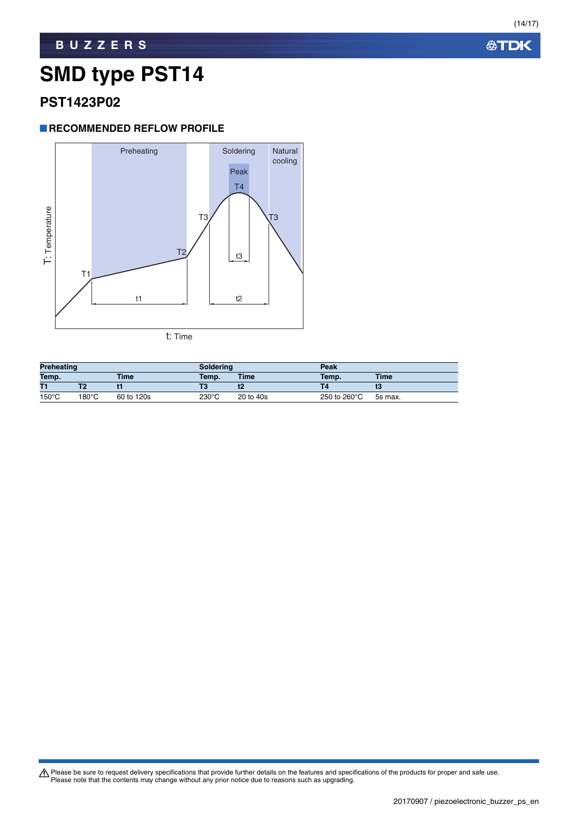**公TDK** 

#### **BUZZERS**

### **SMD type PST14**

#### **PST1423P02**

#### **RECOMMENDED REFLOW PROFILE**



t: Time

| <b>Preheating</b> |       |             | <b>Soldering</b> |             | Peak         |             |
|-------------------|-------|-------------|------------------|-------------|--------------|-------------|
| Temp.             |       | <b>Time</b> | Temp.            | <b>Time</b> | Temp.        | <b>Time</b> |
| T1                |       |             | Г3               | w           |              |             |
| $150^{\circ}$ C   | 180°C | 60 to 120s  | 230°C            | 20 to 40s   | 250 to 260°C | 5s max.     |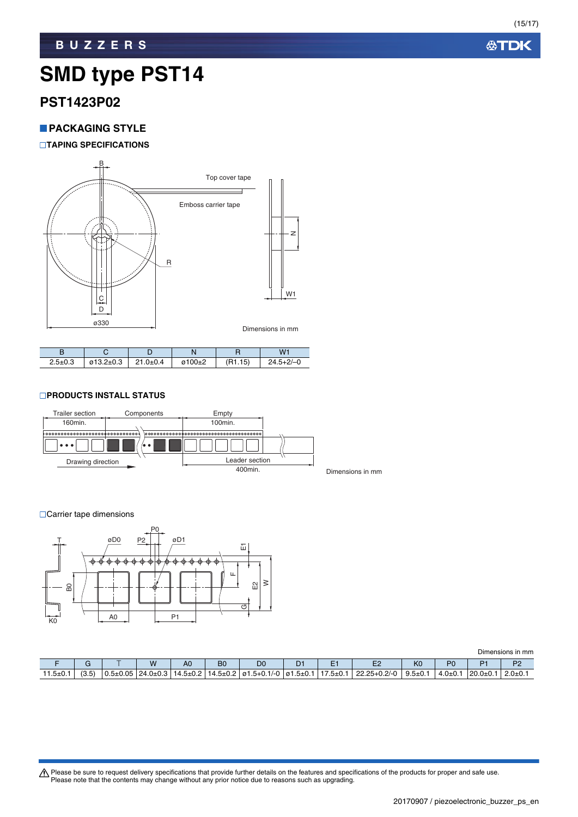**公TDK** 

#### **BUZZERS**

### **SMD type PST14**

#### **PST1423P02**

#### **PACKAGING STYLE**

#### **TAPING SPECIFICATIONS**



| $2.5 \pm 0.3$ | $\varnothing$ 13.2±0.3 | $21.0 + 0.4$ | $\varphi$ 100±2 | (R1.15) | $24.5 + 2/-0$ |
|---------------|------------------------|--------------|-----------------|---------|---------------|

#### **PRODUCTS INSTALL STATUS**



**□Carrier tape dimensions** 



Dimensions in mm F G T W A0 B0 D0 D1 E1 E2 K0 P0 P1 P2 11.5±0.1 (3.5) 0.5±0.05 24.0±0.3 14.5±0.2 14.5±0.2 ø1.5+0.1/-0 ø1.5±0.1 17.5±0.1 22.25+0.2/-0 9.5±0.1 4.0±0.1 20.0±0.1 2.0±0.1

Please be sure to request delivery specifications that provide further details on the features and specifications of the products for proper and safe use.<br>Please note that the contents may change without any prior notice d

20170907 / piezoelectronic\_buzzer\_ps\_en.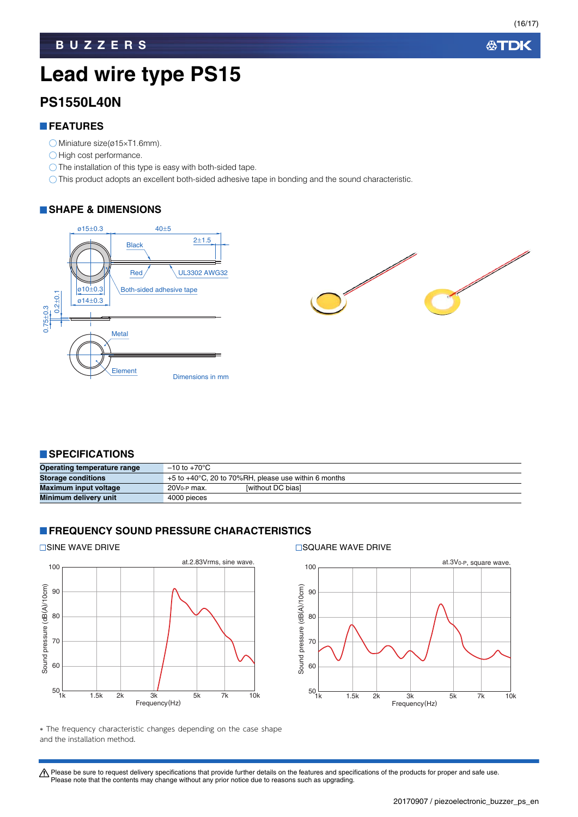**公TDK** 

### **Lead wire type PS15**

#### **PS1550L40N**

#### **FEATURES**

- $\bigcirc$  Miniature size(ø15×T1.6mm).
- $\bigcirc$  High cost performance.
- The installation of this type is easy with both-sided tape.
- This product adopts an excellent both-sided adhesive tape in bonding and the sound characteristic.

#### **SHAPE & DIMENSIONS**



#### **SPECIFICATIONS**

| Operating temperature range | $-10$ to $+70^{\circ}$ C                                         |
|-----------------------------|------------------------------------------------------------------|
| <b>Storage conditions</b>   | $+5$ to $+40^{\circ}$ C, 20 to 70%RH, please use within 6 months |
| Maximum input voltage       | <b>Iwithout DC biasi</b><br>20V <sub>0</sub> -P max.             |
| Minimum delivery unit       | 4000 pieces                                                      |

#### **FREQUENCY SOUND PRESSURE CHARACTERISTICS**

#### **□SINE WAVE DRIVE**





 The frequency characteristic changes depending on the case shape and the installation method.